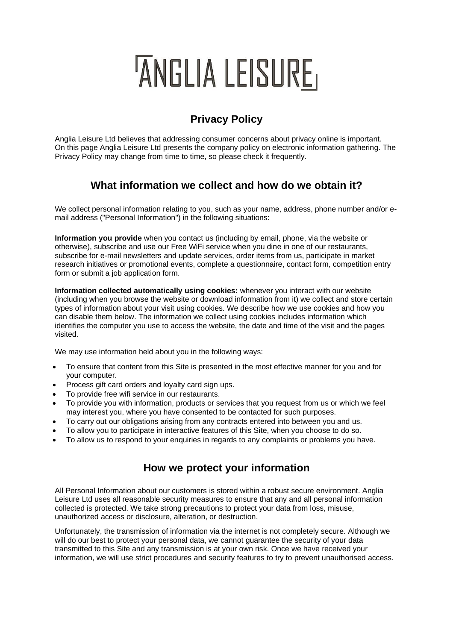# 'ANGLIA LEISURE,

## **Privacy Policy**

Anglia Leisure Ltd believes that addressing consumer concerns about privacy online is important. On this page Anglia Leisure Ltd presents the company policy on electronic information gathering. The Privacy Policy may change from time to time, so please check it frequently.

## **What information we collect and how do we obtain it?**

We collect personal information relating to you, such as your name, address, phone number and/or email address ("Personal Information") in the following situations:

**Information you provide** when you contact us (including by email, phone, via the website or otherwise), subscribe and use our Free WiFi service when you dine in one of our restaurants, subscribe for e-mail newsletters and update services, order items from us, participate in market research initiatives or promotional events, complete a questionnaire, contact form, competition entry form or submit a job application form.

**Information collected automatically using cookies:** whenever you interact with our website (including when you browse the website or download information from it) we collect and store certain types of information about your visit using cookies. We describe how we use cookies and how you can disable them below. The information we collect using cookies includes information which identifies the computer you use to access the website, the date and time of the visit and the pages visited.

We may use information held about you in the following ways:

- To ensure that content from this Site is presented in the most effective manner for you and for your computer.
- Process gift card orders and loyalty card sign ups.
- To provide free wifi service in our restaurants.
- To provide you with information, products or services that you request from us or which we feel may interest you, where you have consented to be contacted for such purposes.
- To carry out our obligations arising from any contracts entered into between you and us.
- To allow you to participate in interactive features of this Site, when you choose to do so.
- To allow us to respond to your enquiries in regards to any complaints or problems you have.

#### **How we protect your information**

All Personal Information about our customers is stored within a robust secure environment. Anglia Leisure Ltd uses all reasonable security measures to ensure that any and all personal information collected is protected. We take strong precautions to protect your data from loss, misuse, unauthorized access or disclosure, alteration, or destruction.

Unfortunately, the transmission of information via the internet is not completely secure. Although we will do our best to protect your personal data, we cannot guarantee the security of your data transmitted to this Site and any transmission is at your own risk. Once we have received your information, we will use strict procedures and security features to try to prevent unauthorised access.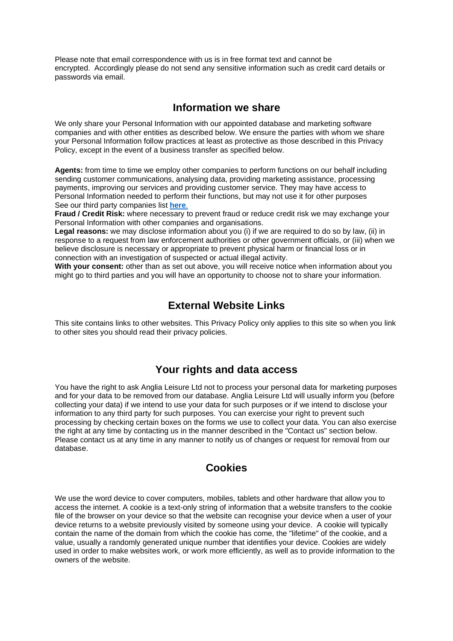Please note that email correspondence with us is in free format text and cannot be encrypted. Accordingly please do not send any sensitive information such as credit card details or passwords via email.

#### **Information we share**

We only share your Personal Information with our appointed database and marketing software companies and with other entities as described below. We ensure the parties with whom we share your Personal Information follow practices at least as protective as those described in this Privacy Policy, except in the event of a business transfer as specified below.

**Agents:** from time to time we employ other companies to perform functions on our behalf including sending customer communications, analysing data, providing marketing assistance, processing payments, improving our services and providing customer service. They may have access to Personal Information needed to perform their functions, but may not use it for other purposes See our third party companies list **[here](https://www.wherryhotel.com/wp-content/uploads/2022/03/Anglia-Leisure-Ltd-Third-Party-Data-List-2022.pdf)**.

**Fraud / Credit Risk:** where necessary to prevent fraud or reduce credit risk we may exchange your Personal Information with other companies and organisations.

**Legal reasons:** we may disclose information about you (i) if we are required to do so by law, (ii) in response to a request from law enforcement authorities or other government officials, or (iii) when we believe disclosure is necessary or appropriate to prevent physical harm or financial loss or in connection with an investigation of suspected or actual illegal activity.

**With your consent:** other than as set out above, you will receive notice when information about you might go to third parties and you will have an opportunity to choose not to share your information.

#### **External Website Links**

This site contains links to other websites. This Privacy Policy only applies to this site so when you link to other sites you should read their privacy policies.

#### **Your rights and data access**

You have the right to ask Anglia Leisure Ltd not to process your personal data for marketing purposes and for your data to be removed from our database. Anglia Leisure Ltd will usually inform you (before collecting your data) if we intend to use your data for such purposes or if we intend to disclose your information to any third party for such purposes. You can exercise your right to prevent such processing by checking certain boxes on the forms we use to collect your data. You can also exercise the right at any time by contacting us in the manner described in the "Contact us" section below. Please contact us at any time in any manner to notify us of changes or request for removal from our database.

### **Cookies**

We use the word device to cover computers, mobiles, tablets and other hardware that allow you to access the internet. A cookie is a text-only string of information that a website transfers to the cookie file of the browser on your device so that the website can recognise your device when a user of your device returns to a website previously visited by someone using your device. A cookie will typically contain the name of the domain from which the cookie has come, the "lifetime" of the cookie, and a value, usually a randomly generated unique number that identifies your device. Cookies are widely used in order to make websites work, or work more efficiently, as well as to provide information to the owners of the website.